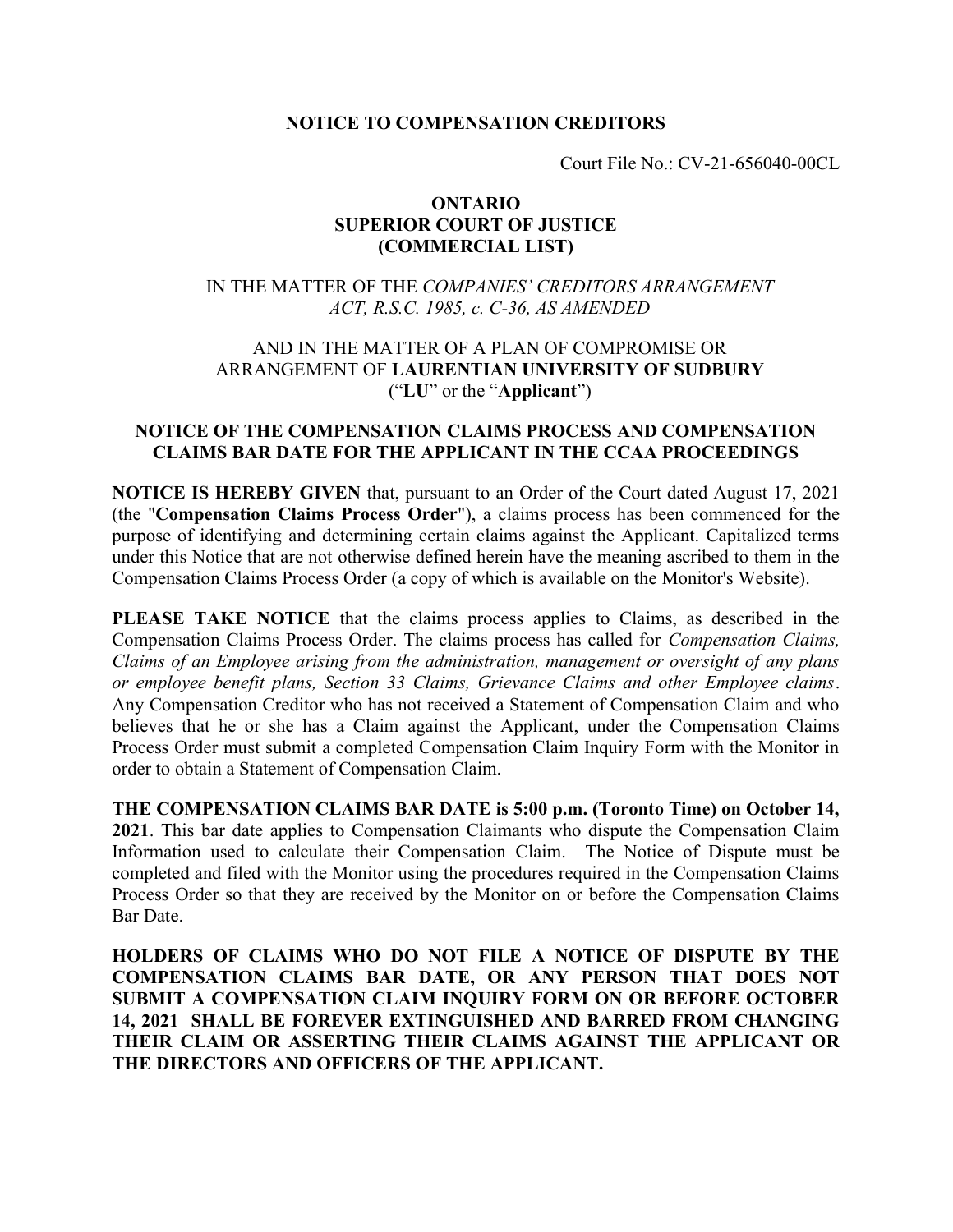# NOTICE TO COMPENSATION CREDITORS

Court File No.: CV-21-656040-00CL

## ONTARIO SUPERIOR COURT OF JUSTICE (COMMERCIAL LIST)

# IN THE MATTER OF THE COMPANIES' CREDITORS ARRANGEMENT ACT, R.S.C. 1985, c. C-36, AS AMENDED

# AND IN THE MATTER OF A PLAN OF COMPROMISE OR ARRANGEMENT OF LAURENTIAN UNIVERSITY OF SUDBURY ("LU" or the "Applicant")

# NOTICE OF THE COMPENSATION CLAIMS PROCESS AND COMPENSATION CLAIMS BAR DATE FOR THE APPLICANT IN THE CCAA PROCEEDINGS

NOTICE IS HEREBY GIVEN that, pursuant to an Order of the Court dated August 17, 2021 (the "Compensation Claims Process Order"), a claims process has been commenced for the purpose of identifying and determining certain claims against the Applicant. Capitalized terms under this Notice that are not otherwise defined herein have the meaning ascribed to them in the Compensation Claims Process Order (a copy of which is available on the Monitor's Website).

PLEASE TAKE NOTICE that the claims process applies to Claims, as described in the Compensation Claims Process Order. The claims process has called for Compensation Claims, Claims of an Employee arising from the administration, management or oversight of any plans or employee benefit plans, Section 33 Claims, Grievance Claims and other Employee claims. Any Compensation Creditor who has not received a Statement of Compensation Claim and who believes that he or she has a Claim against the Applicant, under the Compensation Claims Process Order must submit a completed Compensation Claim Inquiry Form with the Monitor in order to obtain a Statement of Compensation Claim.

THE COMPENSATION CLAIMS BAR DATE is 5:00 p.m. (Toronto Time) on October 14, 2021. This bar date applies to Compensation Claimants who dispute the Compensation Claim Information used to calculate their Compensation Claim. The Notice of Dispute must be completed and filed with the Monitor using the procedures required in the Compensation Claims Process Order so that they are received by the Monitor on or before the Compensation Claims Bar Date.

HOLDERS OF CLAIMS WHO DO NOT FILE A NOTICE OF DISPUTE BY THE COMPENSATION CLAIMS BAR DATE, OR ANY PERSON THAT DOES NOT SUBMIT A COMPENSATION CLAIM INQUIRY FORM ON OR BEFORE OCTOBER 14, 2021 SHALL BE FOREVER EXTINGUISHED AND BARRED FROM CHANGING THEIR CLAIM OR ASSERTING THEIR CLAIMS AGAINST THE APPLICANT OR THE DIRECTORS AND OFFICERS OF THE APPLICANT.